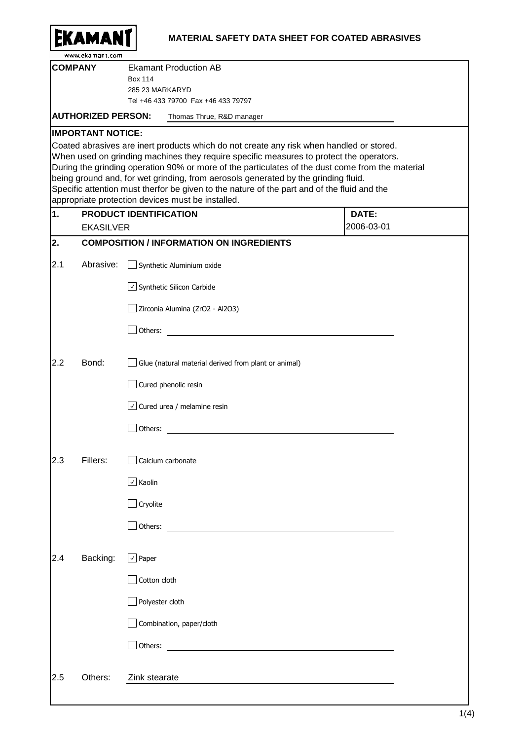|     | <b><i>SAMA</i></b><br>www.ekamant.com | <b>MATERIAL SAFETY DATA SHEET FOR COATED ABRASIVES</b>                                                                                                                                                                                                                                                                                                                                                                                                                                                                            |  |
|-----|---------------------------------------|-----------------------------------------------------------------------------------------------------------------------------------------------------------------------------------------------------------------------------------------------------------------------------------------------------------------------------------------------------------------------------------------------------------------------------------------------------------------------------------------------------------------------------------|--|
|     | <b>COMPANY</b>                        | <b>Ekamant Production AB</b><br><b>Box 114</b><br>285 23 MARKARYD<br>Tel +46 433 79700 Fax +46 433 79797                                                                                                                                                                                                                                                                                                                                                                                                                          |  |
|     | <b>AUTHORIZED PERSON:</b>             | Thomas Thrue, R&D manager                                                                                                                                                                                                                                                                                                                                                                                                                                                                                                         |  |
|     | <b>IMPORTANT NOTICE:</b>              |                                                                                                                                                                                                                                                                                                                                                                                                                                                                                                                                   |  |
|     |                                       | Coated abrasives are inert products which do not create any risk when handled or stored.<br>When used on grinding machines they require specific measures to protect the operators.<br>During the grinding operation 90% or more of the particulates of the dust come from the material<br>being ground and, for wet grinding, from aerosols generated by the grinding fluid.<br>Specific attention must therfor be given to the nature of the part and of the fluid and the<br>appropriate protection devices must be installed. |  |
| 1.  |                                       | <b>PRODUCT IDENTIFICATION</b><br>DATE:                                                                                                                                                                                                                                                                                                                                                                                                                                                                                            |  |
| 2.  | <b>EKASILVER</b>                      | 2006-03-01<br><b>COMPOSITION / INFORMATION ON INGREDIENTS</b>                                                                                                                                                                                                                                                                                                                                                                                                                                                                     |  |
|     |                                       |                                                                                                                                                                                                                                                                                                                                                                                                                                                                                                                                   |  |
| 2.1 | Abrasive:                             | Synthetic Aluminium oxide                                                                                                                                                                                                                                                                                                                                                                                                                                                                                                         |  |
|     |                                       | $\vee$ Synthetic Silicon Carbide                                                                                                                                                                                                                                                                                                                                                                                                                                                                                                  |  |
|     |                                       | Zirconia Alumina (ZrO2 - Al2O3)                                                                                                                                                                                                                                                                                                                                                                                                                                                                                                   |  |
|     |                                       | Others:                                                                                                                                                                                                                                                                                                                                                                                                                                                                                                                           |  |
| 2.2 | Bond:                                 | Glue (natural material derived from plant or animal)                                                                                                                                                                                                                                                                                                                                                                                                                                                                              |  |
|     |                                       | Cured phenolic resin                                                                                                                                                                                                                                                                                                                                                                                                                                                                                                              |  |
|     |                                       | $\vee$ Cured urea / melamine resin                                                                                                                                                                                                                                                                                                                                                                                                                                                                                                |  |
|     |                                       | Others:                                                                                                                                                                                                                                                                                                                                                                                                                                                                                                                           |  |
| 2.3 | Fillers:                              | Calcium carbonate                                                                                                                                                                                                                                                                                                                                                                                                                                                                                                                 |  |
|     |                                       | $\boxed{\vee}$ Kaolin                                                                                                                                                                                                                                                                                                                                                                                                                                                                                                             |  |
|     |                                       | $\Box$ Cryolite                                                                                                                                                                                                                                                                                                                                                                                                                                                                                                                   |  |
|     |                                       | $\exists$ Others:                                                                                                                                                                                                                                                                                                                                                                                                                                                                                                                 |  |
| 2.4 | Backing:                              | $\boxed{\vee}$ Paper                                                                                                                                                                                                                                                                                                                                                                                                                                                                                                              |  |
|     |                                       | Cotton cloth                                                                                                                                                                                                                                                                                                                                                                                                                                                                                                                      |  |
|     |                                       | Polyester cloth                                                                                                                                                                                                                                                                                                                                                                                                                                                                                                                   |  |
|     |                                       | Combination, paper/cloth                                                                                                                                                                                                                                                                                                                                                                                                                                                                                                          |  |
|     |                                       | Others:                                                                                                                                                                                                                                                                                                                                                                                                                                                                                                                           |  |
| 2.5 | Others:                               | Zink stearate                                                                                                                                                                                                                                                                                                                                                                                                                                                                                                                     |  |
|     |                                       |                                                                                                                                                                                                                                                                                                                                                                                                                                                                                                                                   |  |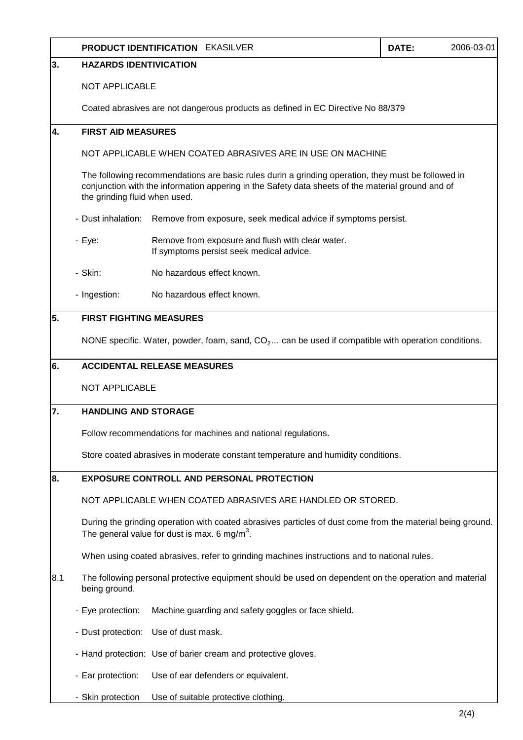|                                          | <b>PRODUCT IDENTIFICATION EKASILVER</b>                                                                                                                                                                                                  |                                                                                              | DATE: | 2006-03-01 |  |  |  |
|------------------------------------------|------------------------------------------------------------------------------------------------------------------------------------------------------------------------------------------------------------------------------------------|----------------------------------------------------------------------------------------------|-------|------------|--|--|--|
| 3.<br><b>HAZARDS IDENTIVICATION</b>      |                                                                                                                                                                                                                                          |                                                                                              |       |            |  |  |  |
|                                          |                                                                                                                                                                                                                                          | <b>NOT APPLICABLE</b>                                                                        |       |            |  |  |  |
|                                          |                                                                                                                                                                                                                                          | Coated abrasives are not dangerous products as defined in EC Directive No 88/379             |       |            |  |  |  |
| 4.                                       |                                                                                                                                                                                                                                          | <b>FIRST AID MEASURES</b>                                                                    |       |            |  |  |  |
|                                          | NOT APPLICABLE WHEN COATED ABRASIVES ARE IN USE ON MACHINE                                                                                                                                                                               |                                                                                              |       |            |  |  |  |
|                                          | The following recommendations are basic rules durin a grinding operation, they must be followed in<br>conjunction with the information appering in the Safety data sheets of the material ground and of<br>the grinding fluid when used. |                                                                                              |       |            |  |  |  |
|                                          | - Dust inhalation:                                                                                                                                                                                                                       | Remove from exposure, seek medical advice if symptoms persist.                               |       |            |  |  |  |
|                                          | - Eye:                                                                                                                                                                                                                                   | Remove from exposure and flush with clear water.<br>If symptoms persist seek medical advice. |       |            |  |  |  |
|                                          | - Skin:                                                                                                                                                                                                                                  | No hazardous effect known.                                                                   |       |            |  |  |  |
|                                          | - Ingestion:                                                                                                                                                                                                                             | No hazardous effect known.                                                                   |       |            |  |  |  |
| 5.                                       | <b>FIRST FIGHTING MEASURES</b>                                                                                                                                                                                                           |                                                                                              |       |            |  |  |  |
|                                          | NONE specific. Water, powder, foam, sand, $CO2$ can be used if compatible with operation conditions.                                                                                                                                     |                                                                                              |       |            |  |  |  |
| 6.<br><b>ACCIDENTAL RELEASE MEASURES</b> |                                                                                                                                                                                                                                          |                                                                                              |       |            |  |  |  |
|                                          | <b>NOT APPLICABLE</b>                                                                                                                                                                                                                    |                                                                                              |       |            |  |  |  |
| 17.                                      |                                                                                                                                                                                                                                          | <b>HANDLING AND STORAGE</b>                                                                  |       |            |  |  |  |
|                                          |                                                                                                                                                                                                                                          | Follow recommendations for machines and national regulations.                                |       |            |  |  |  |
|                                          |                                                                                                                                                                                                                                          | Store coated abrasives in moderate constant temperature and humidity conditions.             |       |            |  |  |  |
| 8.                                       | <b>EXPOSURE CONTROLL AND PERSONAL PROTECTION</b>                                                                                                                                                                                         |                                                                                              |       |            |  |  |  |
|                                          | NOT APPLICABLE WHEN COATED ABRASIVES ARE HANDLED OR STORED.                                                                                                                                                                              |                                                                                              |       |            |  |  |  |
|                                          | During the grinding operation with coated abrasives particles of dust come from the material being ground.<br>The general value for dust is max. 6 mg/m <sup>3</sup> .                                                                   |                                                                                              |       |            |  |  |  |
|                                          | When using coated abrasives, refer to grinding machines instructions and to national rules.                                                                                                                                              |                                                                                              |       |            |  |  |  |
| 8.1                                      | The following personal protective equipment should be used on dependent on the operation and material<br>being ground.                                                                                                                   |                                                                                              |       |            |  |  |  |
|                                          | - Eye protection:                                                                                                                                                                                                                        | Machine guarding and safety goggles or face shield.                                          |       |            |  |  |  |
|                                          |                                                                                                                                                                                                                                          | - Dust protection: Use of dust mask.                                                         |       |            |  |  |  |
|                                          |                                                                                                                                                                                                                                          | - Hand protection: Use of barier cream and protective gloves.                                |       |            |  |  |  |
|                                          | - Ear protection:                                                                                                                                                                                                                        | Use of ear defenders or equivalent.                                                          |       |            |  |  |  |
|                                          | - Skin protection                                                                                                                                                                                                                        | Use of suitable protective clothing.                                                         |       |            |  |  |  |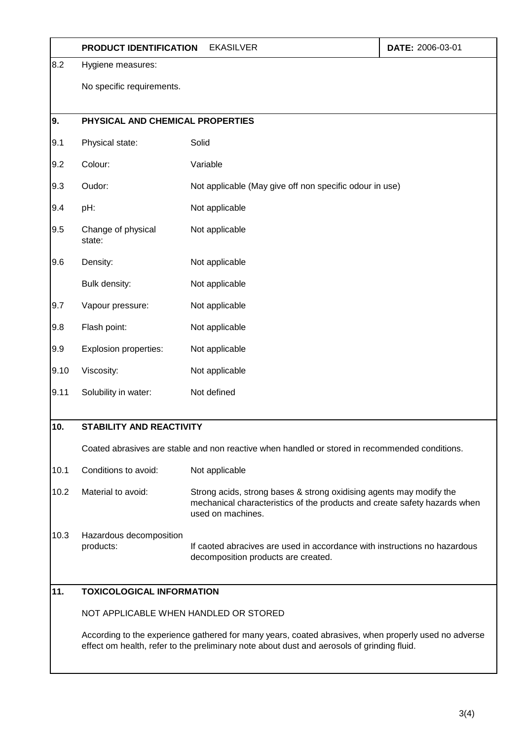|                          | PRODUCT IDENTIFICATION                                                                                                                                                                             | DATE: 2006-03-01                                                                                                                                                      |  |  |  |  |
|--------------------------|----------------------------------------------------------------------------------------------------------------------------------------------------------------------------------------------------|-----------------------------------------------------------------------------------------------------------------------------------------------------------------------|--|--|--|--|
| 8.2<br>Hygiene measures: |                                                                                                                                                                                                    |                                                                                                                                                                       |  |  |  |  |
|                          | No specific requirements.                                                                                                                                                                          |                                                                                                                                                                       |  |  |  |  |
| 9.                       | PHYSICAL AND CHEMICAL PROPERTIES                                                                                                                                                                   |                                                                                                                                                                       |  |  |  |  |
| 9.1                      | Physical state:                                                                                                                                                                                    | Solid                                                                                                                                                                 |  |  |  |  |
| 9.2                      | Colour:                                                                                                                                                                                            | Variable                                                                                                                                                              |  |  |  |  |
| 9.3                      | Oudor:                                                                                                                                                                                             | Not applicable (May give off non specific odour in use)                                                                                                               |  |  |  |  |
| 9.4                      | pH:                                                                                                                                                                                                | Not applicable                                                                                                                                                        |  |  |  |  |
| 9.5                      | Change of physical<br>state:                                                                                                                                                                       | Not applicable                                                                                                                                                        |  |  |  |  |
| 9.6                      | Density:                                                                                                                                                                                           | Not applicable                                                                                                                                                        |  |  |  |  |
|                          | Bulk density:                                                                                                                                                                                      | Not applicable                                                                                                                                                        |  |  |  |  |
| 9.7                      | Vapour pressure:                                                                                                                                                                                   | Not applicable                                                                                                                                                        |  |  |  |  |
| 9.8                      | Flash point:                                                                                                                                                                                       | Not applicable                                                                                                                                                        |  |  |  |  |
| 9.9                      | Explosion properties:                                                                                                                                                                              | Not applicable                                                                                                                                                        |  |  |  |  |
| 9.10                     | Viscosity:                                                                                                                                                                                         | Not applicable                                                                                                                                                        |  |  |  |  |
| 9.11                     | Solubility in water:                                                                                                                                                                               | Not defined                                                                                                                                                           |  |  |  |  |
| 10.                      | <b>STABILITY AND REACTIVITY</b>                                                                                                                                                                    |                                                                                                                                                                       |  |  |  |  |
|                          | Coated abrasives are stable and non reactive when handled or stored in recommended conditions.                                                                                                     |                                                                                                                                                                       |  |  |  |  |
| 10.1                     | Conditions to avoid:                                                                                                                                                                               | Not applicable                                                                                                                                                        |  |  |  |  |
| 10.2                     | Material to avoid:                                                                                                                                                                                 | Strong acids, strong bases & strong oxidising agents may modify the<br>mechanical characteristics of the products and create safety hazards when<br>used on machines. |  |  |  |  |
| 10.3                     | Hazardous decomposition<br>products:                                                                                                                                                               | If caoted abracives are used in accordance with instructions no hazardous<br>decomposition products are created.                                                      |  |  |  |  |
| 11.                      | <b>TOXICOLOGICAL INFORMATION</b>                                                                                                                                                                   |                                                                                                                                                                       |  |  |  |  |
|                          | NOT APPLICABLE WHEN HANDLED OR STORED                                                                                                                                                              |                                                                                                                                                                       |  |  |  |  |
|                          | According to the experience gathered for many years, coated abrasives, when properly used no adverse<br>effect om health, refer to the preliminary note about dust and aerosols of grinding fluid. |                                                                                                                                                                       |  |  |  |  |